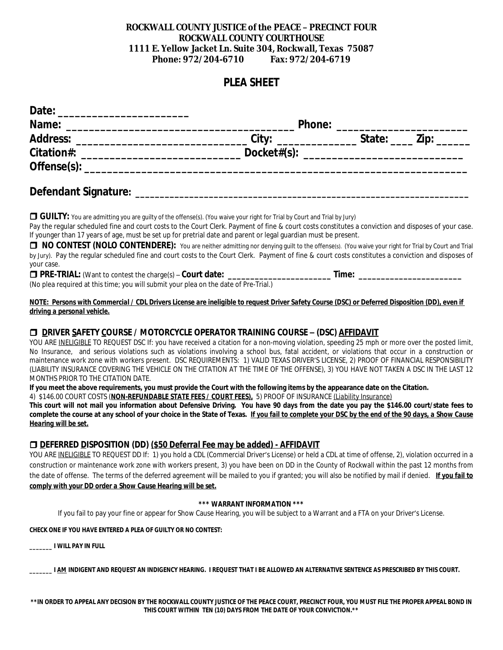### **ROCKWALL COUNTY JUSTICE of the PEACE – PRECINCT FOUR ROCKWALL COUNTY COURTHOUSE 1111 E. Yellow Jacket Ln. Suite 304, Rockwall, Texas 75087 Phone: 972/204-6710 Fax: 972/204-6719**

# **PLEA SHEET**

| Date:                                                                                                                                                                                                                                  |                   |                                                                                                               |      |  |
|----------------------------------------------------------------------------------------------------------------------------------------------------------------------------------------------------------------------------------------|-------------------|---------------------------------------------------------------------------------------------------------------|------|--|
| Name:<br>the control of the control of the control of the control of the control of the control of the control of the control of the control of the control of the control of the control of the control of the control of the control | <b>Phone:</b>     |                                                                                                               |      |  |
| <b>Address:</b>                                                                                                                                                                                                                        | City <sup>.</sup> | State:                                                                                                        | Zip: |  |
| Citation#:                                                                                                                                                                                                                             | Docket# $(s)$ :   | <u> 2001 - 2002 - 2003 - 2004 - 2005 - 2006 - 2007 - 2008 - 2009 - 2009 - 2009 - 2009 - 2009 - 2009 - 200</u> |      |  |
| Offense $(s)$ :                                                                                                                                                                                                                        |                   |                                                                                                               |      |  |

## **Defendant Signature: \_\_\_\_\_\_\_\_\_\_\_\_\_\_\_\_\_\_\_\_\_\_\_\_\_\_\_\_\_\_\_\_\_\_\_\_\_\_\_\_\_\_\_\_\_\_\_\_\_\_\_\_\_\_\_\_\_\_\_\_\_\_\_\_\_\_\_\_**

**GUILTY:** You are admitting you are guilty of the offense(s). (You waive your right for Trial by Court and Trial by Jury)

Pay the regular scheduled fine and court costs to the Court Clerk. Payment of fine & court costs constitutes a conviction and disposes of your case. If younger than 17 years of age, must be set up for pretrial date and parent or legal guardian must be present.

□ NO CONTEST (NOLO CONTENDERE): You are neither admitting nor denying guilt to the offense(s). (You waive your right for Trial by Court and Trial by Jury). Pay the regular scheduled fine and court costs to the Court Clerk. Payment of fine & court costs constitutes a conviction and disposes of your case.

r **PRE-TRIAL:** (Want to contest the charge(s) – **Court date: \_\_\_\_\_\_\_\_\_\_\_\_\_\_\_\_\_\_\_\_\_\_\_ Time: \_\_\_\_\_\_\_\_\_\_\_\_\_\_\_\_\_\_\_\_\_\_\_** (No plea required at this time; you will submit your plea on the date of Pre-Trial.)

#### *NOTE: Persons with Commercial / CDL Drivers License are ineligible to request Driver Safety Course (DSC) or Deferred Disposition (DD), even if driving a personal vehicle.*

### r **DRIVER SAFETY COURSE / MOTORCYCLE OPERATOR TRAINING COURSE – (DSC) AFFIDAVIT**

YOU ARE INELIGIBLE TO REQUEST DSC If: you have received a citation for a non-moving violation, speeding 25 mph or more over the posted limit, No Insurance, and serious violations such as violations involving a school bus, fatal accident, or violations that occur in a construction or maintenance work zone with workers present. DSC REQUIREMENTS: 1) VALID TEXAS DRIVER'S LICENSE, 2) PROOF OF FINANCIAL RESPONSIBILITY (LIABILITY INSURANCE COVERING THE VEHICLE ON THE CITATION AT THE TIME OF THE OFFENSE), 3) YOU HAVE NOT TAKEN A DSC IN THE LAST 12 MONTHS PRIOR TO THE CITATION DATE.

**If you meet the above requirements, you must provide the Court with the following items by the appearance date on the Citation.**

4) \$146.00 COURT COSTS (*NON-REFUNDABLE STATE FEES / COURT FEES),* 5) PROOF OF INSURANCE *(Liability Insurance)*

This court will not mail you information about Defensive Driving. You have 90 days from the date you pay the \$146.00 court/state fees to complete the course at any school of your choice in the State of Texas. If you fail to complete your DSC by the end of the 90 days, a Show Cause *Hearing will be set.*

### r **DEFERRED DISPOSITION (DD)** *(\$50 Deferral Fee may be added) - AFFIDAVIT*

YOU ARE INELIGIBLE TO REQUEST DD If: 1) you hold a CDL (Commercial Driver's License) or held a CDL at time of offense, 2), violation occurred in a construction or maintenance work zone with workers present, 3) you have been on DD in the County of Rockwall within the past 12 months from the date of offense. The terms of the deferred agreement will be mailed to you if granted; you will also be notified by mail if denied. *If you fail to comply with your DD order a Show Cause Hearing will be set.*

#### *\*\*\* WARRANT INFORMATION \*\*\**

If you fail to pay your fine or appear for Show Cause Hearing, you will be subject to a Warrant and a FTA on your Driver's License.

*CHECK ONE IF YOU HAVE ENTERED A PLEA OF GUILTY OR NO CONTEST:*

*\_\_\_\_\_\_\_ I WILL PAY IN FULL*

*\_\_\_\_\_\_\_ I AM INDIGENT AND REQUEST AN INDIGENCY HEARING. I REQUEST THAT I BE ALLOWED AN ALTERNATIVE SENTENCE AS PRESCRIBED BY THIS COURT.*

*\*\*IN ORDER TO APPEAL ANY DECISION BY THE ROCKWALL COUNTY JUSTICE OF THE PEACE COURT, PRECINCT FOUR, YOU MUST FILE THE PROPER APPEAL BOND IN THIS COURT WITHIN TEN (10) DAYS FROM THE DATE OF YOUR CONVICTION.\*\**